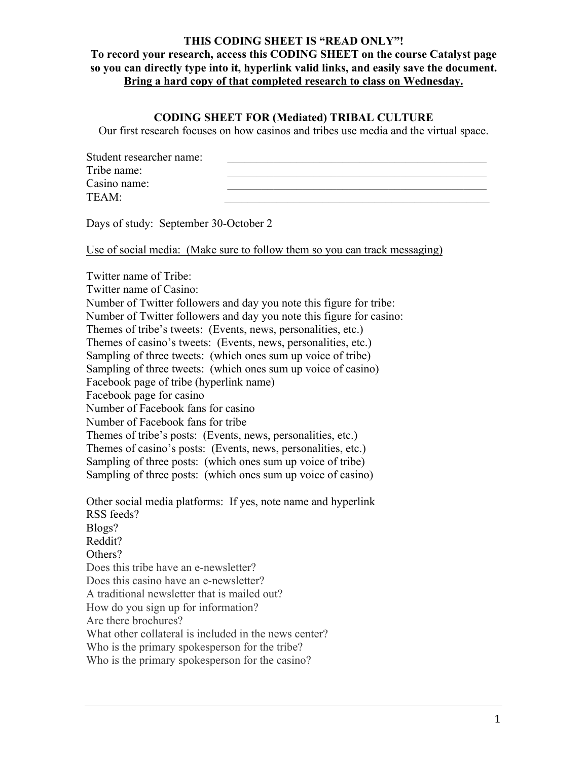#### **THIS CODING SHEET IS "READ ONLY"!**

**To record your research, access this CODING SHEET on the course Catalyst page so you can directly type into it, hyperlink valid links, and easily save the document. Bring a hard copy of that completed research to class on Wednesday.**

### **CODING SHEET FOR (Mediated) TRIBAL CULTURE**

Our first research focuses on how casinos and tribes use media and the virtual space.

| Student researcher name: |  |
|--------------------------|--|
| Tribe name:              |  |
| Casino name:             |  |
| TEAM:                    |  |

Days of study: September 30-October 2

Use of social media: (Make sure to follow them so you can track messaging)

Twitter name of Tribe: Twitter name of Casino: Number of Twitter followers and day you note this figure for tribe: Number of Twitter followers and day you note this figure for casino: Themes of tribe's tweets: (Events, news, personalities, etc.) Themes of casino's tweets: (Events, news, personalities, etc.) Sampling of three tweets: (which ones sum up voice of tribe) Sampling of three tweets: (which ones sum up voice of casino) Facebook page of tribe (hyperlink name) Facebook page for casino Number of Facebook fans for casino Number of Facebook fans for tribe Themes of tribe's posts: (Events, news, personalities, etc.) Themes of casino's posts: (Events, news, personalities, etc.) Sampling of three posts: (which ones sum up voice of tribe) Sampling of three posts: (which ones sum up voice of casino) Other social media platforms: If yes, note name and hyperlink RSS feeds? Blogs? Reddit? Others? Does this tribe have an e-newsletter? Does this casino have an e-newsletter? A traditional newsletter that is mailed out? How do you sign up for information? Are there brochures? What other collateral is included in the news center? Who is the primary spokesperson for the tribe? Who is the primary spokesperson for the casino?